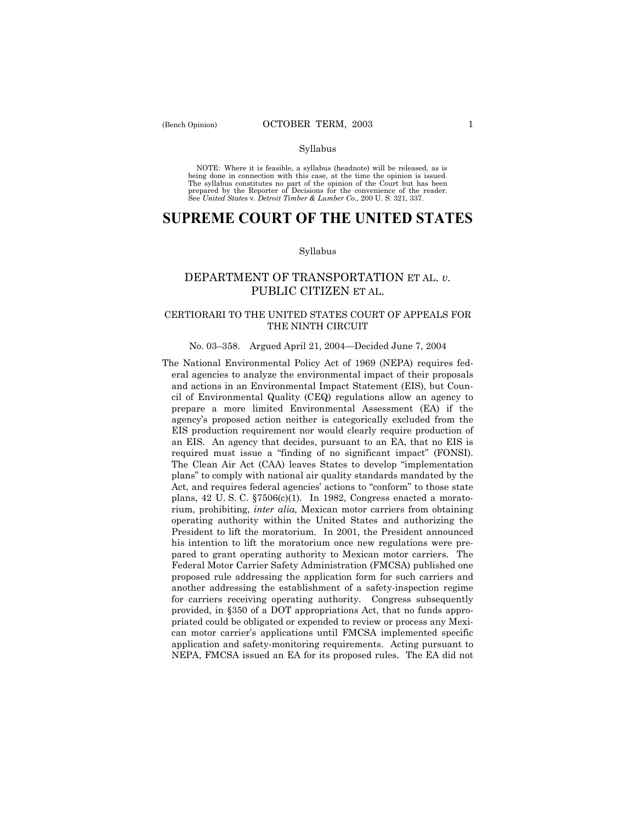#### Syllabus

NOTE: Where it is feasible, a syllabus (headnote) will be released, as is being done in connection with this case, at the time the opinion is issued. The syllabus constitutes no part of the opinion of the Court but has been<br>prepared by the Reporter of Decisions for the convenience of the reader.<br>See United States v. Detroit Timber & Lumber Co., 200 U. S. 321, 337.

# **SUPREME COURT OF THE UNITED STATES**

#### Syllabus

## DEPARTMENT OF TRANSPORTATION ET AL. *v.* PUBLIC CITIZEN ET AL.

### CERTIORARI TO THE UNITED STATES COURT OF APPEALS FOR THE NINTH CIRCUIT

### No. 03-358. Argued April 21, 2004–Decided June 7, 2004

The National Environmental Policy Act of 1969 (NEPA) requires federal agencies to analyze the environmental impact of their proposals and actions in an Environmental Impact Statement (EIS), but Council of Environmental Quality (CEQ) regulations allow an agency to prepare a more limited Environmental Assessment (EA) if the agencyís proposed action neither is categorically excluded from the EIS production requirement nor would clearly require production of an EIS. An agency that decides, pursuant to an EA, that no EIS is required must issue a "finding of no significant impact" (FONSI). The Clean Air Act (CAA) leaves States to develop "implementation plansî to comply with national air quality standards mandated by the Act, and requires federal agencies' actions to "conform" to those state plans,  $42 \text{ U.S. C. }$   $\S 7506(c)(1)$ . In 1982, Congress enacted a moratorium, prohibiting, *inter alia,* Mexican motor carriers from obtaining operating authority within the United States and authorizing the President to lift the moratorium. In 2001, the President announced his intention to lift the moratorium once new regulations were prepared to grant operating authority to Mexican motor carriers. The Federal Motor Carrier Safety Administration (FMCSA) published one proposed rule addressing the application form for such carriers and another addressing the establishment of a safety-inspection regime for carriers receiving operating authority. Congress subsequently provided, in ß350 of a DOT appropriations Act, that no funds appropriated could be obligated or expended to review or process any Mexican motor carrierís applications until FMCSA implemented specific application and safety-monitoring requirements. Acting pursuant to NEPA, FMCSA issued an EA for its proposed rules. The EA did not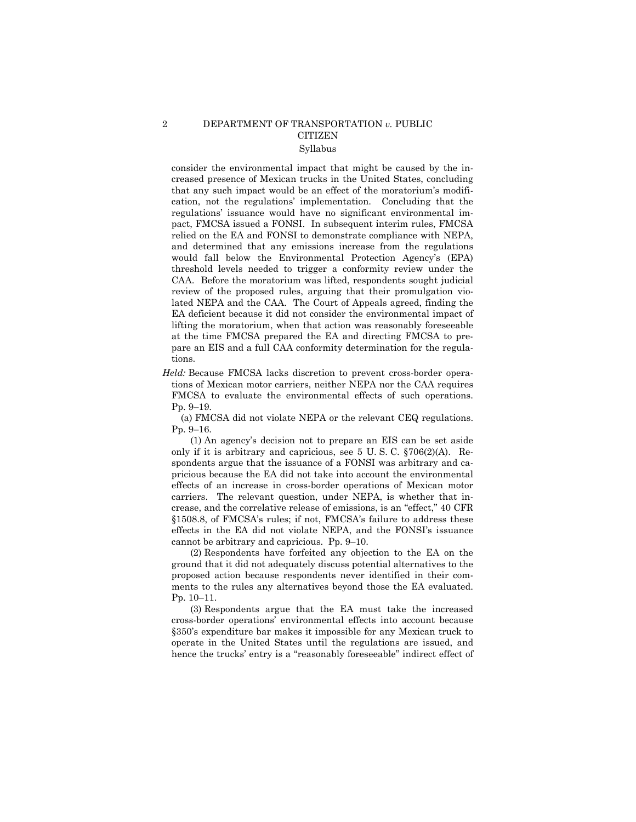#### 2 DEPARTMENT OF TRANSPORTATION *v.* PUBLIC **CITIZEN** Syllabus

consider the environmental impact that might be caused by the increased presence of Mexican trucks in the United States, concluding that any such impact would be an effect of the moratorium's modification, not the regulations' implementation. Concluding that the regulations' issuance would have no significant environmental impact, FMCSA issued a FONSI. In subsequent interim rules, FMCSA relied on the EA and FONSI to demonstrate compliance with NEPA, and determined that any emissions increase from the regulations would fall below the Environmental Protection Agencyís (EPA) threshold levels needed to trigger a conformity review under the CAA. Before the moratorium was lifted, respondents sought judicial review of the proposed rules, arguing that their promulgation violated NEPA and the CAA. The Court of Appeals agreed, finding the EA deficient because it did not consider the environmental impact of lifting the moratorium, when that action was reasonably foreseeable at the time FMCSA prepared the EA and directing FMCSA to prepare an EIS and a full CAA conformity determination for the regulations.

*Held:* Because FMCSA lacks discretion to prevent cross-border operations of Mexican motor carriers, neither NEPA nor the CAA requires FMCSA to evaluate the environmental effects of such operations. Pp. 9-19.

(a) FMCSA did not violate NEPA or the relevant CEQ regulations. Pp. 9–16.

(1) An agencyís decision not to prepare an EIS can be set aside only if it is arbitrary and capricious, see 5 U. S. C. ß706(2)(A). Respondents argue that the issuance of a FONSI was arbitrary and capricious because the EA did not take into account the environmental effects of an increase in cross-border operations of Mexican motor carriers. The relevant question, under NEPA, is whether that increase, and the correlative release of emissions, is an "effect," 40 CFR §1508.8, of FMCSA's rules; if not, FMCSA's failure to address these effects in the EA did not violate NEPA, and the FONSI's issuance cannot be arbitrary and capricious. Pp. 9–10.

(2) Respondents have forfeited any objection to the EA on the ground that it did not adequately discuss potential alternatives to the proposed action because respondents never identified in their comments to the rules any alternatives beyond those the EA evaluated. Pp. 10-11.

(3) Respondents argue that the EA must take the increased cross-border operationsí environmental effects into account because §350's expenditure bar makes it impossible for any Mexican truck to operate in the United States until the regulations are issued, and hence the trucks' entry is a "reasonably foreseeable" indirect effect of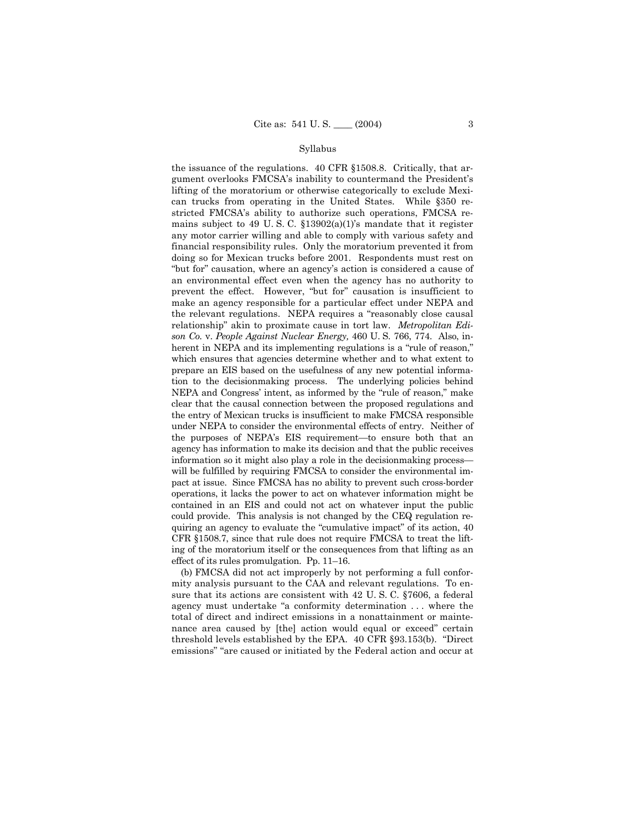#### Syllabus

the issuance of the regulations. 40 CFR §1508.8. Critically, that argument overlooks FMCSA's inability to countermand the President's lifting of the moratorium or otherwise categorically to exclude Mexican trucks from operating in the United States. While §350 restricted FMCSA's ability to authorize such operations, FMCSA remains subject to 49 U.S.C.  $\S 13902(a)(1)$ 's mandate that it register any motor carrier willing and able to comply with various safety and financial responsibility rules. Only the moratorium prevented it from doing so for Mexican trucks before 2001. Respondents must rest on "but for" causation, where an agency's action is considered a cause of an environmental effect even when the agency has no authority to prevent the effect. However, "but for" causation is insufficient to make an agency responsible for a particular effect under NEPA and the relevant regulations. NEPA requires a "reasonably close causal relationship" akin to proximate cause in tort law. Metropolitan Edison Co. v. People Against Nuclear Energy, 460 U.S. 766, 774. Also, inherent in NEPA and its implementing regulations is a "rule of reason," which ensures that agencies determine whether and to what extent to prepare an EIS based on the usefulness of any new potential information to the decision making process. The underlying policies behind NEPA and Congress' intent, as informed by the "rule of reason," make clear that the causal connection between the proposed regulations and the entry of Mexican trucks is insufficient to make FMCSA responsible under NEPA to consider the environmental effects of entry. Neither of the purposes of NEPA's EIS requirement—to ensure both that an agency has information to make its decision and that the public receives information so it might also play a role in the decision making processwill be fulfilled by requiring FMCSA to consider the environmental impact at issue. Since FMCSA has no ability to prevent such cross-border operations, it lacks the power to act on whatever information might be contained in an EIS and could not act on whatever input the public could provide. This analysis is not changed by the CEQ regulation requiring an agency to evaluate the "cumulative impact" of its action, 40 CFR §1508.7, since that rule does not require FMCSA to treat the lifting of the moratorium itself or the consequences from that lifting as an effect of its rules promulgation. Pp.  $11-16$ .

(b) FMCSA did not act improperly by not performing a full conformity analysis pursuant to the CAA and relevant regulations. To ensure that its actions are consistent with 42 U.S.C. §7606, a federal agency must undertake "a conformity determination ... where the total of direct and indirect emissions in a nonattainment or maintenance area caused by [the] action would equal or exceed" certain threshold levels established by the EPA. 40 CFR §93.153(b). "Direct emissions" "are caused or initiated by the Federal action and occur at